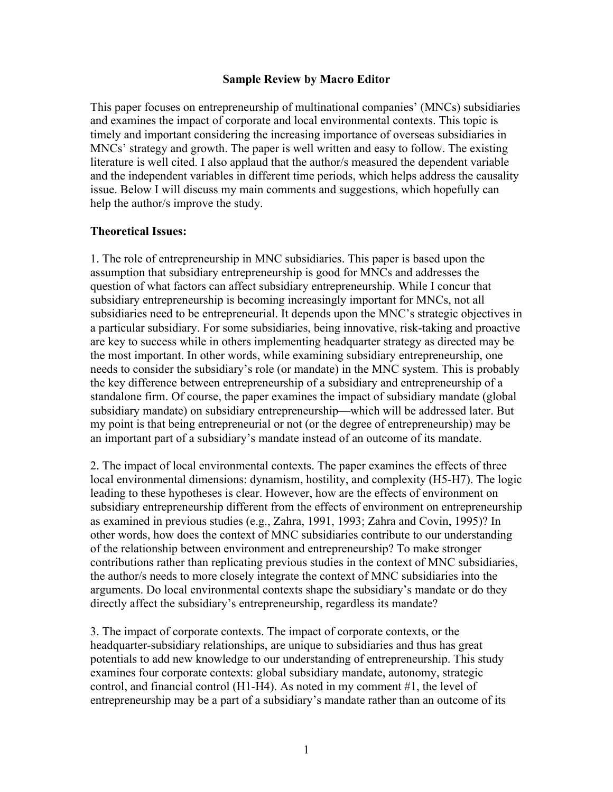This paper focuses on entrepreneurship of multinational companies' (MNCs) subsidiaries and examines the impact of corporate and local environmental contexts. This topic is timely and important considering the increasing importance of overseas subsidiaries in MNCs' strategy and growth. The paper is well written and easy to follow. The existing literature is well cited. I also applaud that the author/s measured the dependent variable and the independent variables in different time periods, which helps address the causality issue. Below I will discuss my main comments and suggestions, which hopefully can help the author/s improve the study.

#### **Theoretical Issues:**

1. The role of entrepreneurship in MNC subsidiaries. This paper is based upon the assumption that subsidiary entrepreneurship is good for MNCs and addresses the question of what factors can affect subsidiary entrepreneurship. While I concur that subsidiary entrepreneurship is becoming increasingly important for MNCs, not all subsidiaries need to be entrepreneurial. It depends upon the MNC's strategic objectives in a particular subsidiary. For some subsidiaries, being innovative, risk-taking and proactive are key to success while in others implementing headquarter strategy as directed may be the most important. In other words, while examining subsidiary entrepreneurship, one needs to consider the subsidiary's role (or mandate) in the MNC system. This is probably the key difference between entrepreneurship of a subsidiary and entrepreneurship of a standalone firm. Of course, the paper examines the impact of subsidiary mandate (global subsidiary mandate) on subsidiary entrepreneurship—which will be addressed later. But my point is that being entrepreneurial or not (or the degree of entrepreneurship) may be an important part of a subsidiary's mandate instead of an outcome of its mandate.

2. The impact of local environmental contexts. The paper examines the effects of three local environmental dimensions: dynamism, hostility, and complexity (H5-H7). The logic leading to these hypotheses is clear. However, how are the effects of environment on subsidiary entrepreneurship different from the effects of environment on entrepreneurship as examined in previous studies (e.g., Zahra, 1991, 1993; Zahra and Covin, 1995)? In other words, how does the context of MNC subsidiaries contribute to our understanding of the relationship between environment and entrepreneurship? To make stronger contributions rather than replicating previous studies in the context of MNC subsidiaries, the author/s needs to more closely integrate the context of MNC subsidiaries into the arguments. Do local environmental contexts shape the subsidiary's mandate or do they directly affect the subsidiary's entrepreneurship, regardless its mandate?

3. The impact of corporate contexts. The impact of corporate contexts, or the headquarter-subsidiary relationships, are unique to subsidiaries and thus has great potentials to add new knowledge to our understanding of entrepreneurship. This study examines four corporate contexts: global subsidiary mandate, autonomy, strategic control, and financial control (H1-H4). As noted in my comment #1, the level of entrepreneurship may be a part of a subsidiary's mandate rather than an outcome of its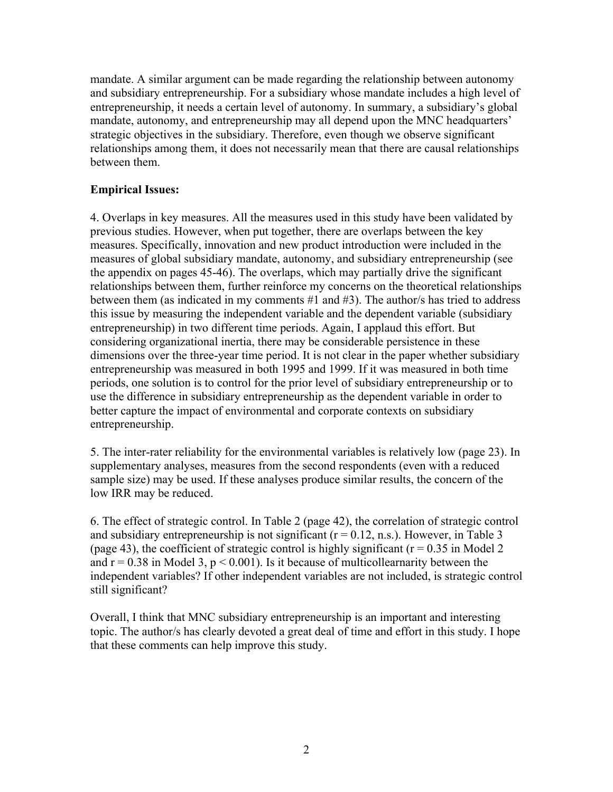mandate. A similar argument can be made regarding the relationship between autonomy and subsidiary entrepreneurship. For a subsidiary whose mandate includes a high level of entrepreneurship, it needs a certain level of autonomy. In summary, a subsidiary's global mandate, autonomy, and entrepreneurship may all depend upon the MNC headquarters' strategic objectives in the subsidiary. Therefore, even though we observe significant relationships among them, it does not necessarily mean that there are causal relationships between them.

# **Empirical Issues:**

4. Overlaps in key measures. All the measures used in this study have been validated by previous studies. However, when put together, there are overlaps between the key measures. Specifically, innovation and new product introduction were included in the measures of global subsidiary mandate, autonomy, and subsidiary entrepreneurship (see the appendix on pages 45-46). The overlaps, which may partially drive the significant relationships between them, further reinforce my concerns on the theoretical relationships between them (as indicated in my comments #1 and #3). The author/s has tried to address this issue by measuring the independent variable and the dependent variable (subsidiary entrepreneurship) in two different time periods. Again, I applaud this effort. But considering organizational inertia, there may be considerable persistence in these dimensions over the three-year time period. It is not clear in the paper whether subsidiary entrepreneurship was measured in both 1995 and 1999. If it was measured in both time periods, one solution is to control for the prior level of subsidiary entrepreneurship or to use the difference in subsidiary entrepreneurship as the dependent variable in order to better capture the impact of environmental and corporate contexts on subsidiary entrepreneurship.

5. The inter-rater reliability for the environmental variables is relatively low (page 23). In supplementary analyses, measures from the second respondents (even with a reduced sample size) may be used. If these analyses produce similar results, the concern of the low IRR may be reduced.

6. The effect of strategic control. In Table 2 (page 42), the correlation of strategic control and subsidiary entrepreneurship is not significant  $(r = 0.12, n.s.)$ . However, in Table 3 (page 43), the coefficient of strategic control is highly significant ( $r = 0.35$  in Model 2) and  $r = 0.38$  in Model 3,  $p \le 0.001$ ). Is it because of multicollearnarity between the independent variables? If other independent variables are not included, is strategic control still significant?

Overall, I think that MNC subsidiary entrepreneurship is an important and interesting topic. The author/s has clearly devoted a great deal of time and effort in this study. I hope that these comments can help improve this study.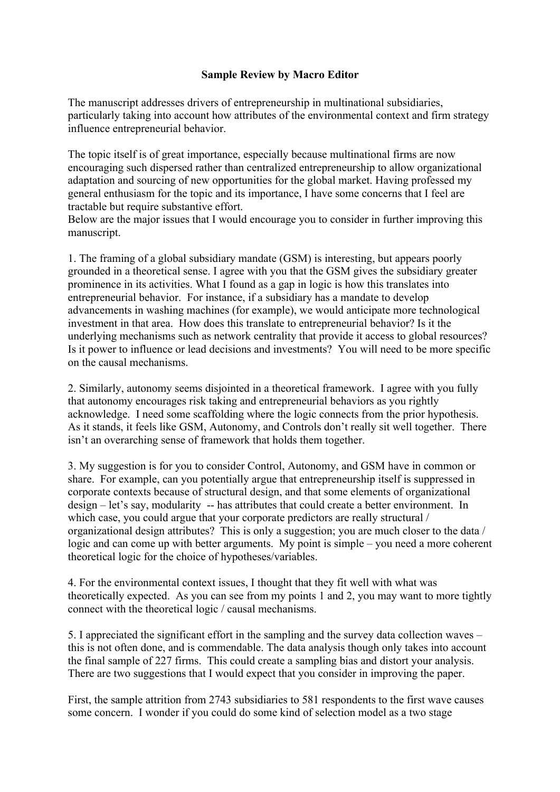The manuscript addresses drivers of entrepreneurship in multinational subsidiaries, particularly taking into account how attributes of the environmental context and firm strategy influence entrepreneurial behavior.

The topic itself is of great importance, especially because multinational firms are now encouraging such dispersed rather than centralized entrepreneurship to allow organizational adaptation and sourcing of new opportunities for the global market. Having professed my general enthusiasm for the topic and its importance, I have some concerns that I feel are tractable but require substantive effort.

Below are the major issues that I would encourage you to consider in further improving this manuscript.

1. The framing of a global subsidiary mandate (GSM) is interesting, but appears poorly grounded in a theoretical sense. I agree with you that the GSM gives the subsidiary greater prominence in its activities. What I found as a gap in logic is how this translates into entrepreneurial behavior. For instance, if a subsidiary has a mandate to develop advancements in washing machines (for example), we would anticipate more technological investment in that area. How does this translate to entrepreneurial behavior? Is it the underlying mechanisms such as network centrality that provide it access to global resources? Is it power to influence or lead decisions and investments? You will need to be more specific on the causal mechanisms.

2. Similarly, autonomy seems disjointed in a theoretical framework. I agree with you fully that autonomy encourages risk taking and entrepreneurial behaviors as you rightly acknowledge. I need some scaffolding where the logic connects from the prior hypothesis. As it stands, it feels like GSM, Autonomy, and Controls don't really sit well together. There isn't an overarching sense of framework that holds them together.

3. My suggestion is for you to consider Control, Autonomy, and GSM have in common or share. For example, can you potentially argue that entrepreneurship itself is suppressed in corporate contexts because of structural design, and that some elements of organizational design – let's say, modularity -- has attributes that could create a better environment. In which case, you could argue that your corporate predictors are really structural / organizational design attributes? This is only a suggestion; you are much closer to the data / logic and can come up with better arguments. My point is simple – you need a more coherent theoretical logic for the choice of hypotheses/variables.

4. For the environmental context issues, I thought that they fit well with what was theoretically expected. As you can see from my points 1 and 2, you may want to more tightly connect with the theoretical logic / causal mechanisms.

5. I appreciated the significant effort in the sampling and the survey data collection waves – this is not often done, and is commendable. The data analysis though only takes into account the final sample of 227 firms. This could create a sampling bias and distort your analysis. There are two suggestions that I would expect that you consider in improving the paper.

First, the sample attrition from 2743 subsidiaries to 581 respondents to the first wave causes some concern. I wonder if you could do some kind of selection model as a two stage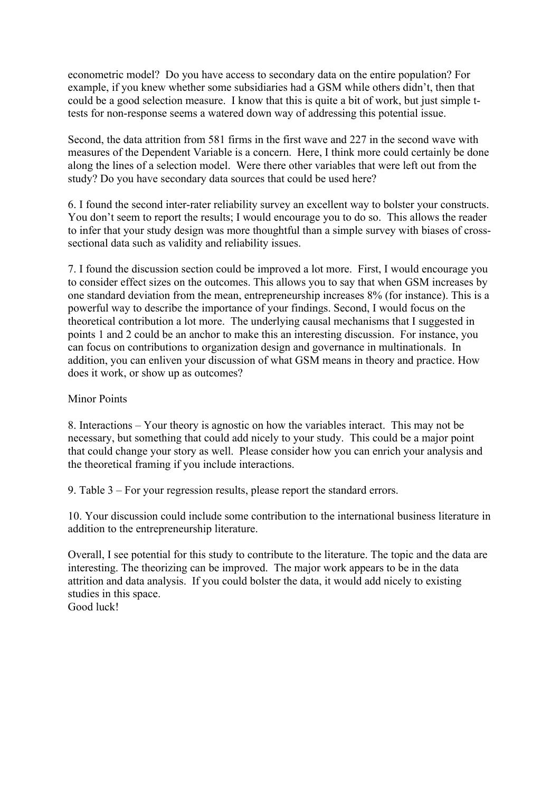econometric model? Do you have access to secondary data on the entire population? For example, if you knew whether some subsidiaries had a GSM while others didn't, then that could be a good selection measure. I know that this is quite a bit of work, but just simple ttests for non-response seems a watered down way of addressing this potential issue.

Second, the data attrition from 581 firms in the first wave and 227 in the second wave with measures of the Dependent Variable is a concern. Here, I think more could certainly be done along the lines of a selection model. Were there other variables that were left out from the study? Do you have secondary data sources that could be used here?

6. I found the second inter-rater reliability survey an excellent way to bolster your constructs. You don't seem to report the results; I would encourage you to do so. This allows the reader to infer that your study design was more thoughtful than a simple survey with biases of crosssectional data such as validity and reliability issues.

7. I found the discussion section could be improved a lot more. First, I would encourage you to consider effect sizes on the outcomes. This allows you to say that when GSM increases by one standard deviation from the mean, entrepreneurship increases 8% (for instance). This is a powerful way to describe the importance of your findings. Second, I would focus on the theoretical contribution a lot more. The underlying causal mechanisms that I suggested in points 1 and 2 could be an anchor to make this an interesting discussion. For instance, you can focus on contributions to organization design and governance in multinationals. In addition, you can enliven your discussion of what GSM means in theory and practice. How does it work, or show up as outcomes?

### Minor Points

8. Interactions – Your theory is agnostic on how the variables interact. This may not be necessary, but something that could add nicely to your study. This could be a major point that could change your story as well. Please consider how you can enrich your analysis and the theoretical framing if you include interactions.

9. Table 3 – For your regression results, please report the standard errors.

10. Your discussion could include some contribution to the international business literature in addition to the entrepreneurship literature.

Overall, I see potential for this study to contribute to the literature. The topic and the data are interesting. The theorizing can be improved. The major work appears to be in the data attrition and data analysis. If you could bolster the data, it would add nicely to existing studies in this space.

Good luck!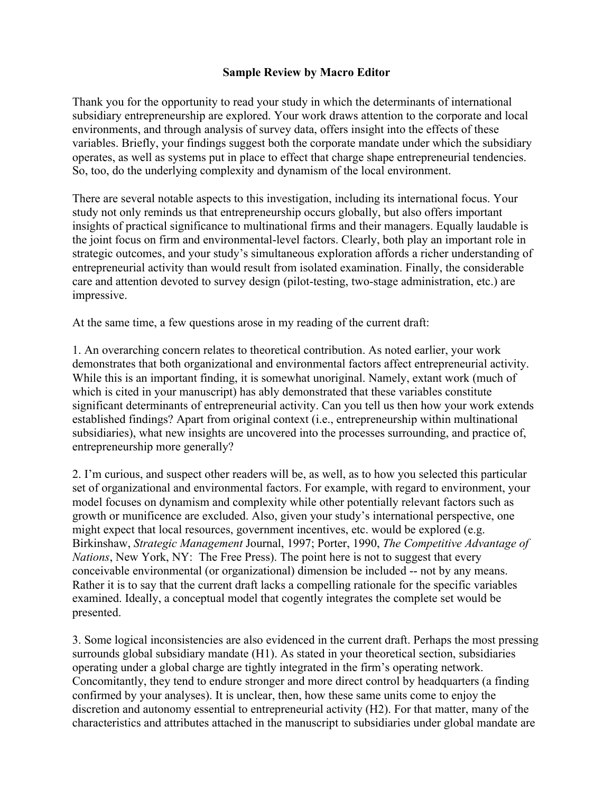Thank you for the opportunity to read your study in which the determinants of international subsidiary entrepreneurship are explored. Your work draws attention to the corporate and local environments, and through analysis of survey data, offers insight into the effects of these variables. Briefly, your findings suggest both the corporate mandate under which the subsidiary operates, as well as systems put in place to effect that charge shape entrepreneurial tendencies. So, too, do the underlying complexity and dynamism of the local environment.

There are several notable aspects to this investigation, including its international focus. Your study not only reminds us that entrepreneurship occurs globally, but also offers important insights of practical significance to multinational firms and their managers. Equally laudable is the joint focus on firm and environmental-level factors. Clearly, both play an important role in strategic outcomes, and your study's simultaneous exploration affords a richer understanding of entrepreneurial activity than would result from isolated examination. Finally, the considerable care and attention devoted to survey design (pilot-testing, two-stage administration, etc.) are impressive.

At the same time, a few questions arose in my reading of the current draft:

1. An overarching concern relates to theoretical contribution. As noted earlier, your work demonstrates that both organizational and environmental factors affect entrepreneurial activity. While this is an important finding, it is somewhat unoriginal. Namely, extant work (much of which is cited in your manuscript) has ably demonstrated that these variables constitute significant determinants of entrepreneurial activity. Can you tell us then how your work extends established findings? Apart from original context (i.e., entrepreneurship within multinational subsidiaries), what new insights are uncovered into the processes surrounding, and practice of, entrepreneurship more generally?

2. I'm curious, and suspect other readers will be, as well, as to how you selected this particular set of organizational and environmental factors. For example, with regard to environment, your model focuses on dynamism and complexity while other potentially relevant factors such as growth or munificence are excluded. Also, given your study's international perspective, one might expect that local resources, government incentives, etc. would be explored (e.g. Birkinshaw, *Strategic Management* Journal, 1997; Porter, 1990, *The Competitive Advantage of Nations*, New York, NY: The Free Press). The point here is not to suggest that every conceivable environmental (or organizational) dimension be included -- not by any means. Rather it is to say that the current draft lacks a compelling rationale for the specific variables examined. Ideally, a conceptual model that cogently integrates the complete set would be presented.

3. Some logical inconsistencies are also evidenced in the current draft. Perhaps the most pressing surrounds global subsidiary mandate (H1). As stated in your theoretical section, subsidiaries operating under a global charge are tightly integrated in the firm's operating network. Concomitantly, they tend to endure stronger and more direct control by headquarters (a finding confirmed by your analyses). It is unclear, then, how these same units come to enjoy the discretion and autonomy essential to entrepreneurial activity (H2). For that matter, many of the characteristics and attributes attached in the manuscript to subsidiaries under global mandate are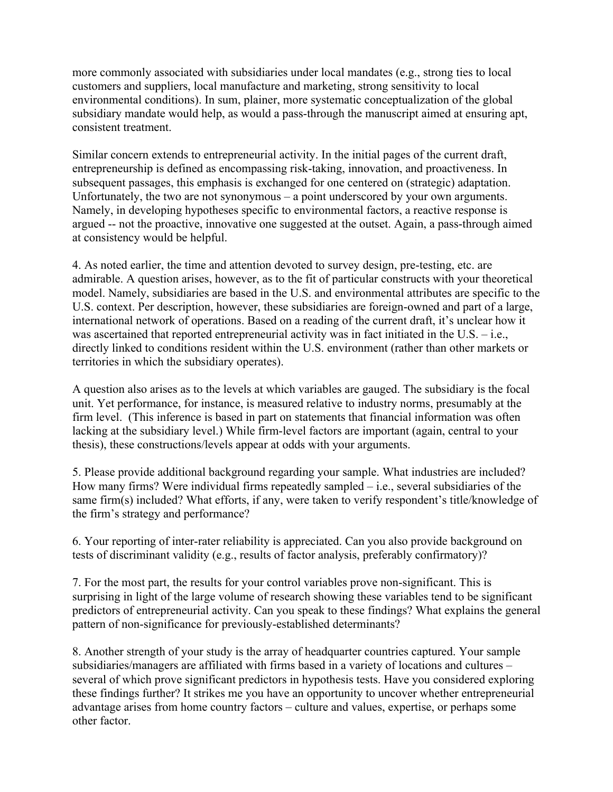more commonly associated with subsidiaries under local mandates (e.g., strong ties to local customers and suppliers, local manufacture and marketing, strong sensitivity to local environmental conditions). In sum, plainer, more systematic conceptualization of the global subsidiary mandate would help, as would a pass-through the manuscript aimed at ensuring apt, consistent treatment.

Similar concern extends to entrepreneurial activity. In the initial pages of the current draft, entrepreneurship is defined as encompassing risk-taking, innovation, and proactiveness. In subsequent passages, this emphasis is exchanged for one centered on (strategic) adaptation. Unfortunately, the two are not synonymous – a point underscored by your own arguments. Namely, in developing hypotheses specific to environmental factors, a reactive response is argued -- not the proactive, innovative one suggested at the outset. Again, a pass-through aimed at consistency would be helpful.

4. As noted earlier, the time and attention devoted to survey design, pre-testing, etc. are admirable. A question arises, however, as to the fit of particular constructs with your theoretical model. Namely, subsidiaries are based in the U.S. and environmental attributes are specific to the U.S. context. Per description, however, these subsidiaries are foreign-owned and part of a large, international network of operations. Based on a reading of the current draft, it's unclear how it was ascertained that reported entrepreneurial activity was in fact initiated in the U.S.  $-$  i.e., directly linked to conditions resident within the U.S. environment (rather than other markets or territories in which the subsidiary operates).

A question also arises as to the levels at which variables are gauged. The subsidiary is the focal unit. Yet performance, for instance, is measured relative to industry norms, presumably at the firm level. (This inference is based in part on statements that financial information was often lacking at the subsidiary level.) While firm-level factors are important (again, central to your thesis), these constructions/levels appear at odds with your arguments.

5. Please provide additional background regarding your sample. What industries are included? How many firms? Were individual firms repeatedly sampled – i.e., several subsidiaries of the same firm(s) included? What efforts, if any, were taken to verify respondent's title/knowledge of the firm's strategy and performance?

6. Your reporting of inter-rater reliability is appreciated. Can you also provide background on tests of discriminant validity (e.g., results of factor analysis, preferably confirmatory)?

7. For the most part, the results for your control variables prove non-significant. This is surprising in light of the large volume of research showing these variables tend to be significant predictors of entrepreneurial activity. Can you speak to these findings? What explains the general pattern of non-significance for previously-established determinants?

8. Another strength of your study is the array of headquarter countries captured. Your sample subsidiaries/managers are affiliated with firms based in a variety of locations and cultures – several of which prove significant predictors in hypothesis tests. Have you considered exploring these findings further? It strikes me you have an opportunity to uncover whether entrepreneurial advantage arises from home country factors – culture and values, expertise, or perhaps some other factor.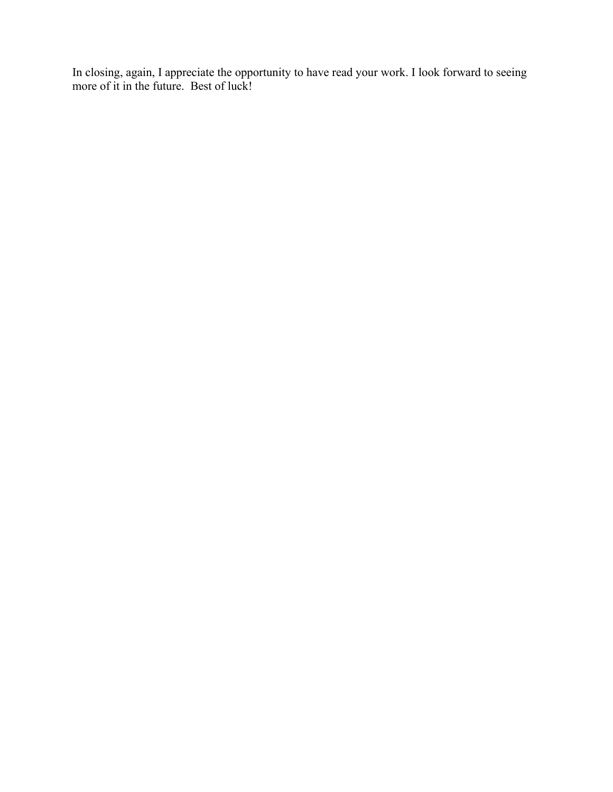In closing, again, I appreciate the opportunity to have read your work. I look forward to seeing more of it in the future. Best of luck!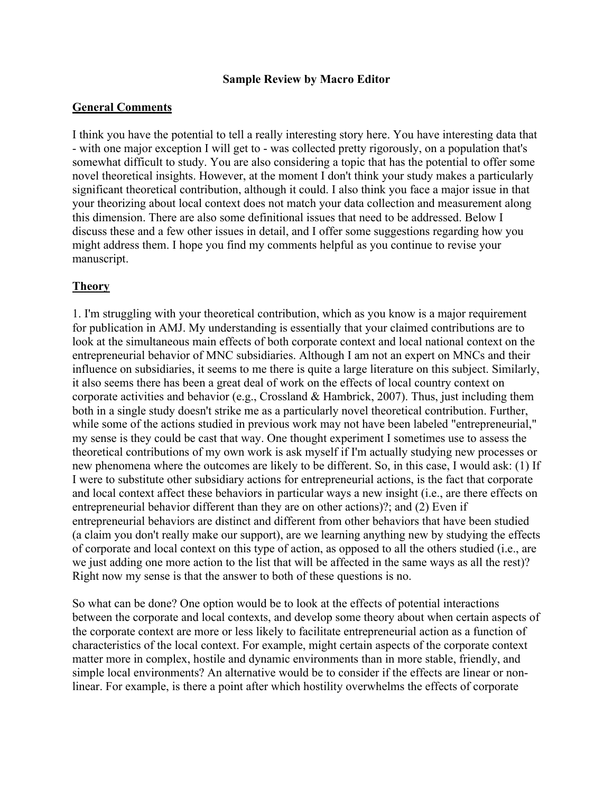### **General Comments**

I think you have the potential to tell a really interesting story here. You have interesting data that - with one major exception I will get to - was collected pretty rigorously, on a population that's somewhat difficult to study. You are also considering a topic that has the potential to offer some novel theoretical insights. However, at the moment I don't think your study makes a particularly significant theoretical contribution, although it could. I also think you face a major issue in that your theorizing about local context does not match your data collection and measurement along this dimension. There are also some definitional issues that need to be addressed. Below I discuss these and a few other issues in detail, and I offer some suggestions regarding how you might address them. I hope you find my comments helpful as you continue to revise your manuscript.

### **Theory**

1. I'm struggling with your theoretical contribution, which as you know is a major requirement for publication in AMJ. My understanding is essentially that your claimed contributions are to look at the simultaneous main effects of both corporate context and local national context on the entrepreneurial behavior of MNC subsidiaries. Although I am not an expert on MNCs and their influence on subsidiaries, it seems to me there is quite a large literature on this subject. Similarly, it also seems there has been a great deal of work on the effects of local country context on corporate activities and behavior (e.g., Crossland & Hambrick, 2007). Thus, just including them both in a single study doesn't strike me as a particularly novel theoretical contribution. Further, while some of the actions studied in previous work may not have been labeled "entrepreneurial," my sense is they could be cast that way. One thought experiment I sometimes use to assess the theoretical contributions of my own work is ask myself if I'm actually studying new processes or new phenomena where the outcomes are likely to be different. So, in this case, I would ask: (1) If I were to substitute other subsidiary actions for entrepreneurial actions, is the fact that corporate and local context affect these behaviors in particular ways a new insight (i.e., are there effects on entrepreneurial behavior different than they are on other actions)?; and (2) Even if entrepreneurial behaviors are distinct and different from other behaviors that have been studied (a claim you don't really make our support), are we learning anything new by studying the effects of corporate and local context on this type of action, as opposed to all the others studied (i.e., are we just adding one more action to the list that will be affected in the same ways as all the rest)? Right now my sense is that the answer to both of these questions is no.

So what can be done? One option would be to look at the effects of potential interactions between the corporate and local contexts, and develop some theory about when certain aspects of the corporate context are more or less likely to facilitate entrepreneurial action as a function of characteristics of the local context. For example, might certain aspects of the corporate context matter more in complex, hostile and dynamic environments than in more stable, friendly, and simple local environments? An alternative would be to consider if the effects are linear or nonlinear. For example, is there a point after which hostility overwhelms the effects of corporate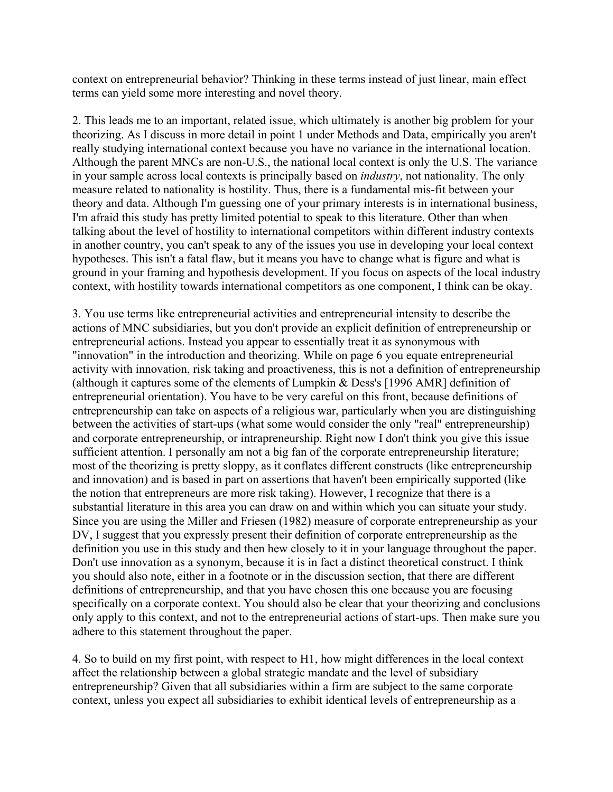context on entrepreneurial behavior? Thinking in these terms instead of just linear, main effect terms can yield some more interesting and novel theory.

2. This leads me to an important, related issue, which ultimately is another big problem for your theorizing. As I discuss in more detail in point 1 under Methods and Data, empirically you aren't really studying international context because you have no variance in the international location. Although the parent MNCs are non-U.S., the national local context is only the U.S. The variance in your sample across local contexts is principally based on *industry*, not nationality. The only measure related to nationality is hostility. Thus, there is a fundamental mis-fit between your theory and data. Although I'm guessing one of your primary interests is in international business, I'm afraid this study has pretty limited potential to speak to this literature. Other than when talking about the level of hostility to international competitors within different industry contexts in another country, you can't speak to any of the issues you use in developing your local context hypotheses. This isn't a fatal flaw, but it means you have to change what is figure and what is ground in your framing and hypothesis development. If you focus on aspects of the local industry context, with hostility towards international competitors as one component, I think can be okay.

3. You use terms like entrepreneurial activities and entrepreneurial intensity to describe the actions of MNC subsidiaries, but you don't provide an explicit definition of entrepreneurship or entrepreneurial actions. Instead you appear to essentially treat it as synonymous with "innovation" in the introduction and theorizing. While on page 6 you equate entrepreneurial activity with innovation, risk taking and proactiveness, this is not a definition of entrepreneurship (although it captures some of the elements of Lumpkin & Dess's [1996 AMR] definition of entrepreneurial orientation). You have to be very careful on this front, because definitions of entrepreneurship can take on aspects of a religious war, particularly when you are distinguishing between the activities of start-ups (what some would consider the only "real" entrepreneurship) and corporate entrepreneurship, or intrapreneurship. Right now I don't think you give this issue sufficient attention. I personally am not a big fan of the corporate entrepreneurship literature; most of the theorizing is pretty sloppy, as it conflates different constructs (like entrepreneurship and innovation) and is based in part on assertions that haven't been empirically supported (like the notion that entrepreneurs are more risk taking). However, I recognize that there is a substantial literature in this area you can draw on and within which you can situate your study. Since you are using the Miller and Friesen (1982) measure of corporate entrepreneurship as your DV, I suggest that you expressly present their definition of corporate entrepreneurship as the definition you use in this study and then hew closely to it in your language throughout the paper. Don't use innovation as a synonym, because it is in fact a distinct theoretical construct. I think you should also note, either in a footnote or in the discussion section, that there are different definitions of entrepreneurship, and that you have chosen this one because you are focusing specifically on a corporate context. You should also be clear that your theorizing and conclusions only apply to this context, and not to the entrepreneurial actions of start-ups. Then make sure you adhere to this statement throughout the paper.

4. So to build on my first point, with respect to H1, how might differences in the local context affect the relationship between a global strategic mandate and the level of subsidiary entrepreneurship? Given that all subsidiaries within a firm are subject to the same corporate context, unless you expect all subsidiaries to exhibit identical levels of entrepreneurship as a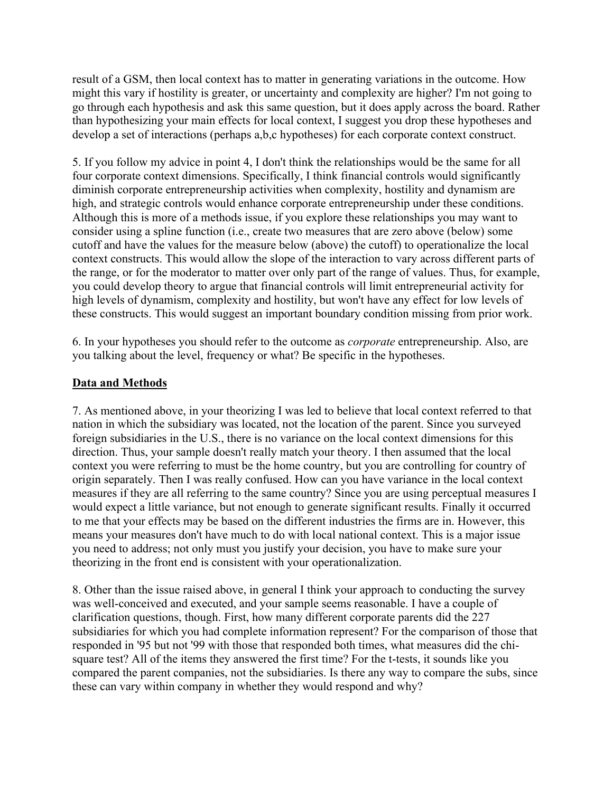result of a GSM, then local context has to matter in generating variations in the outcome. How might this vary if hostility is greater, or uncertainty and complexity are higher? I'm not going to go through each hypothesis and ask this same question, but it does apply across the board. Rather than hypothesizing your main effects for local context, I suggest you drop these hypotheses and develop a set of interactions (perhaps a,b,c hypotheses) for each corporate context construct.

5. If you follow my advice in point 4, I don't think the relationships would be the same for all four corporate context dimensions. Specifically, I think financial controls would significantly diminish corporate entrepreneurship activities when complexity, hostility and dynamism are high, and strategic controls would enhance corporate entrepreneurship under these conditions. Although this is more of a methods issue, if you explore these relationships you may want to consider using a spline function (i.e., create two measures that are zero above (below) some cutoff and have the values for the measure below (above) the cutoff) to operationalize the local context constructs. This would allow the slope of the interaction to vary across different parts of the range, or for the moderator to matter over only part of the range of values. Thus, for example, you could develop theory to argue that financial controls will limit entrepreneurial activity for high levels of dynamism, complexity and hostility, but won't have any effect for low levels of these constructs. This would suggest an important boundary condition missing from prior work.

6. In your hypotheses you should refer to the outcome as *corporate* entrepreneurship. Also, are you talking about the level, frequency or what? Be specific in the hypotheses.

# **Data and Methods**

7. As mentioned above, in your theorizing I was led to believe that local context referred to that nation in which the subsidiary was located, not the location of the parent. Since you surveyed foreign subsidiaries in the U.S., there is no variance on the local context dimensions for this direction. Thus, your sample doesn't really match your theory. I then assumed that the local context you were referring to must be the home country, but you are controlling for country of origin separately. Then I was really confused. How can you have variance in the local context measures if they are all referring to the same country? Since you are using perceptual measures I would expect a little variance, but not enough to generate significant results. Finally it occurred to me that your effects may be based on the different industries the firms are in. However, this means your measures don't have much to do with local national context. This is a major issue you need to address; not only must you justify your decision, you have to make sure your theorizing in the front end is consistent with your operationalization.

8. Other than the issue raised above, in general I think your approach to conducting the survey was well-conceived and executed, and your sample seems reasonable. I have a couple of clarification questions, though. First, how many different corporate parents did the 227 subsidiaries for which you had complete information represent? For the comparison of those that responded in '95 but not '99 with those that responded both times, what measures did the chisquare test? All of the items they answered the first time? For the t-tests, it sounds like you compared the parent companies, not the subsidiaries. Is there any way to compare the subs, since these can vary within company in whether they would respond and why?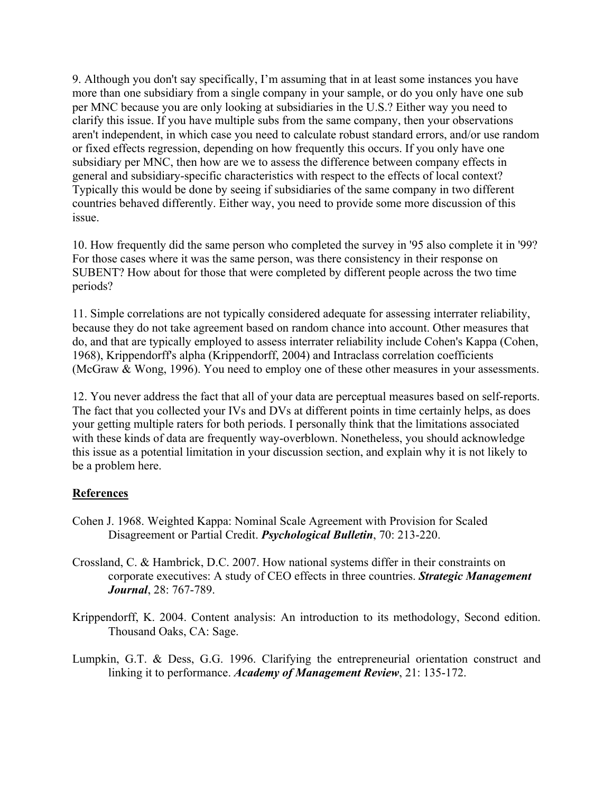9. Although you don't say specifically, I'm assuming that in at least some instances you have more than one subsidiary from a single company in your sample, or do you only have one sub per MNC because you are only looking at subsidiaries in the U.S.? Either way you need to clarify this issue. If you have multiple subs from the same company, then your observations aren't independent, in which case you need to calculate robust standard errors, and/or use random or fixed effects regression, depending on how frequently this occurs. If you only have one subsidiary per MNC, then how are we to assess the difference between company effects in general and subsidiary-specific characteristics with respect to the effects of local context? Typically this would be done by seeing if subsidiaries of the same company in two different countries behaved differently. Either way, you need to provide some more discussion of this issue.

10. How frequently did the same person who completed the survey in '95 also complete it in '99? For those cases where it was the same person, was there consistency in their response on SUBENT? How about for those that were completed by different people across the two time periods?

11. Simple correlations are not typically considered adequate for assessing interrater reliability, because they do not take agreement based on random chance into account. Other measures that do, and that are typically employed to assess interrater reliability include Cohen's Kappa (Cohen, 1968), Krippendorff's alpha (Krippendorff, 2004) and Intraclass correlation coefficients (McGraw & Wong, 1996). You need to employ one of these other measures in your assessments.

12. You never address the fact that all of your data are perceptual measures based on self-reports. The fact that you collected your IVs and DVs at different points in time certainly helps, as does your getting multiple raters for both periods. I personally think that the limitations associated with these kinds of data are frequently way-overblown. Nonetheless, you should acknowledge this issue as a potential limitation in your discussion section, and explain why it is not likely to be a problem here.

#### **References**

- Cohen J. 1968. Weighted Kappa: Nominal Scale Agreement with Provision for Scaled Disagreement or Partial Credit. *Psychological Bulletin*, 70: 213-220.
- Crossland, C. & Hambrick, D.C. 2007. How national systems differ in their constraints on corporate executives: A study of CEO effects in three countries. *Strategic Management Journal*, 28: 767-789.
- Krippendorff, K. 2004. Content analysis: An introduction to its methodology, Second edition. Thousand Oaks, CA: Sage.
- Lumpkin, G.T. & Dess, G.G. 1996. Clarifying the entrepreneurial orientation construct and linking it to performance. *Academy of Management Review*, 21: 135-172.